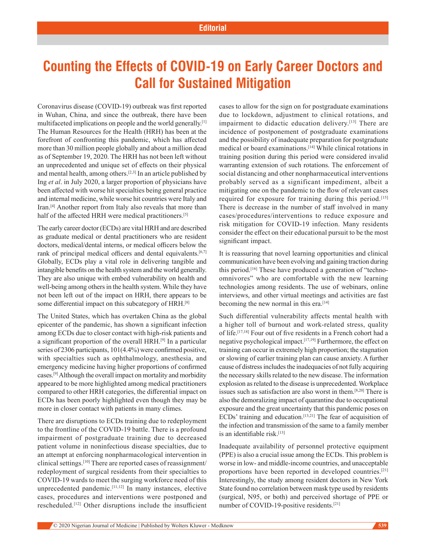## **Counting the Effects of COVID-19 on Early Career Doctors and Call for Sustained Mitigation**

Coronavirus disease (COVID-19) outbreak was first reported in Wuhan, China, and since the outbreak, there have been multifaceted implications on people and the world generally.[1] The Human Resources for the Health (HRH) has been at the forefront of confronting this pandemic, which has affected more than 30 million people globally and about a million dead as of September 19, 2020. The HRH has not been left without an unprecedented and unique set of effects on their physical and mental health, among others.[2,3] In an article published by Ing *et al*. in July 2020, a larger proportion of physicians have been affected with worse hit specialties being general practice and internal medicine, while worse hit countries were Italy and Iran.[4] Another report from Italy also reveals that more than half of the affected HRH were medical practitioners.<sup>[5]</sup>

The early career doctor (ECDs) are vital HRH and are described as graduate medical or dental practitioners who are resident doctors, medical/dental interns, or medical officers below the rank of principal medical officers and dental equivalents.<sup>[6,7]</sup> Globally, ECDs play a vital role in delivering tangible and intangible benefits on the health system and the world generally. They are also unique with embed vulnerability on health and well-being among others in the health system. While they have not been left out of the impact on HRH, there appears to be some differential impact on this subcategory of HRH.<sup>[8]</sup>

The United States, which has overtaken China as the global epicenter of the pandemic, has shown a significant infection among ECDs due to closer contact with high-risk patients and a significant proportion of the overall HRH.[9] In a particular series of 2306 participants, 101(4.4%) were confirmed positive, with specialties such as ophthalmology, anesthesia, and emergency medicine having higher proportions of confirmed cases.[9] Although the overall impact on mortality and morbidity appeared to be more highlighted among medical practitioners compared to other HRH categories, the differential impact on ECDs has been poorly highlighted even though they may be more in closer contact with patients in many climes.

There are disruptions to ECDs training due to redeployment to the frontline of the COVID-19 battle. There is a profound impairment of postgraduate training due to decreased patient volume in noninfectious disease specialties, due to an attempt at enforcing nonpharmacological intervention in clinical settings.[10] There are reported cases of reassignment/ redeployment of surgical residents from their specialties to COVID-19 wards to meet the surging workforce need of this unprecedented pandemic.[11,12] In many instances, elective cases, procedures and interventions were postponed and rescheduled.[12] Other disruptions include the insufficient cases to allow for the sign on for postgraduate examinations due to lockdown, adjustment to clinical rotations, and impairment to didactic education delivery.<sup>[13]</sup> There are incidence of postponement of postgraduate examinations and the possibility of inadequate preparation for postgraduate medical or board examinations.[14] While clinical rotations in training position during this period were considered invalid warranting extension of such rotations. The enforcement of social distancing and other nonpharmaceutical interventions probably served as a significant impediment, albeit a mitigating one on the pandemic to the flow of relevant cases required for exposure for training during this period.[15] There is decrease in the number of staff involved in many cases/procedures/interventions to reduce exposure and risk mitigation for COVID-19 infection. Many residents consider the effect on their educational pursuit to be the most significant impact.

It is reassuring that novel learning opportunities and clinical communication have been evolving and gaining traction during this period.[16] These have produced a generation of "technoomnivores" who are comfortable with the new learning technologies among residents. The use of webinars, online interviews, and other virtual meetings and activities are fast becoming the new normal in this era.<sup>[14]</sup>

Such differential vulnerability affects mental health with a higher toll of burnout and work-related stress, quality of life.[17,18] Four out of five residents in a French cohort had a negative psychological impact.[17,19] Furthermore, the effect on training can occur in extremely high proportion; the stagnation or slowing of earlier training plan can cause anxiety. A further cause of distress includes the inadequacies of not fully acquiring the necessary skills related to the new disease. The information explosion as related to the disease is unprecedented. Workplace issues such as satisfaction are also worst in them.[8,20] There is also the demoralizing impact of quarantine due to occupational exposure and the great uncertainty that this pandemic poses on ECDs' training and education.<sup>[13,21]</sup> The fear of acquisition of the infection and transmission of the same to a family member is an identifiable risk.[13]

Inadequate availability of personnel protective equipment (PPE) is also a crucial issue among the ECDs. This problem is worse in low- and middle-income countries, and unacceptable proportions have been reported in developed countries.[21] Interestingly, the study among resident doctors in New York State found no correlation between mask type used by residents (surgical, N95, or both) and perceived shortage of PPE or number of COVID-19-positive residents.<sup>[21]</sup>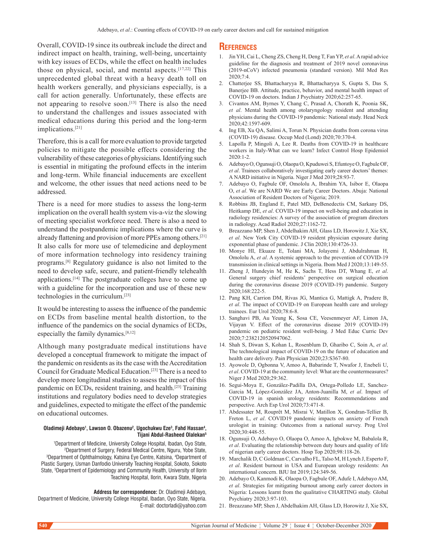Overall, COVID-19 since its outbreak include the direct and indirect impact on health, training, well-being, uncertainty with key issues of ECDs, while the effect on health includes those on physical, social, and mental aspects.[17,22] This unprecedented global threat with a heavy death toll on health workers generally, and physicians especially, is a call for action generally. Unfortunately, these effects are not appearing to resolve soon.<sup>[13]</sup> There is also the need to understand the challenges and issues associated with medical educations during this period and the long-term implications.[21]

Therefore, this is a call for more evaluation to provide targeted policies to mitigate the possible effects considering the vulnerability of these categories of physicians. Identifying such is essential in mitigating the profound effects in the interim and long-term. While financial inducements are excellent and welcome, the other issues that need actions need to be addressed.

There is a need for more studies to assess the long-term implication on the overall health system vis-a-viz the slowing of meeting specialist workforce need. There is also a need to understand the postpandemic implications where the curve is already flattening and provision of more PPEs among others.[21] It also calls for more use of telemedicine and deployment of more information technology into residency training programs.[8] Regulatory guidance is also not limited to the need to develop safe, secure, and patient-friendly telehealth applications.[14] The postgraduate colleges have to come up with a guideline for the incorporation and use of these new technologies in the curriculum.[23]

It would be interesting to assess the influence of the pandemic on ECDs from baseline mental health distortion, to the influence of the pandemics on the social dynamics of ECDs, especially the family dynamics.[8,12]

Although many postgraduate medical institutions have developed a conceptual framework to mitigate the impact of the pandemic on residents as its the case with the Accreditation Council for Graduate Medical Education.[23] There is a need to develop more longitudinal studies to assess the impact of this pandemic on ECDs, resident training, and health.[23] Training institutions and regulatory bodies need to develop strategies and guidelines, expected to mitigate the effect of the pandemic on educational outcomes.

## Oladimeji Adebayo<sup>1</sup>, Lawson O. Obazenu<sup>2</sup>, Ugochukwu Eze<sup>3</sup>, Fahd Hassan<sup>4</sup>, **Tijani Abdul-Rasheed Olalekan5**

1 Department of Medicine, University College Hospital, Ibadan, Oyo State, 2 Department of Surgery, Federal Medical Centre, Nguru, Yobe State, 3 Department of Ophthalmology, Katsina Eye Centre, Katsina, 4 Department of Plastic Surgery, Usman Danfodio University Teaching Hospital, Sokoto, Sokoto State, 5 Department of Epidemiology and Community Health, University of Ilorin Teaching Hospital, Ilorin, Kwara State, Nigeria

## **Address for correspondence:** Dr. Oladimeji Adebayo,

Department of Medicine, University College Hospital, Ibadan, Oyo State, Nigeria. E-mail: doctorladi@yahoo.com

## **References**

- 1. Jin YH, Cai L, Cheng ZS, Cheng H, Deng T, Fan YP, *et al*. A rapid advice guideline for the diagnosis and treatment of 2019 novel coronavirus (2019-nCoV) infected pneumonia (standard version). Mil Med Res 2020;7:4.
- 2. Chatterjee SS, Bhattacharyya R, Bhattacharyya S, Gupta S, Das S, Banerjee BB. Attitude, practice, behavior, and mental health impact of COVID-19 on doctors. Indian J Psychiatry 2020;62:257-65.
- 3. Civantos AM, Byrnes Y, Chang C, Prasad A, Chorath K, Poonia SK, *et al*. Mental health among otolaryngology resident and attending physicians during the COVID-19 pandemic: National study. Head Neck 2020;42:1597-609.
- 4. Ing EB, Xu QA, Salimi A, Torun N. Physician deaths from corona virus (COVID-19) disease. Occup Med (Lond) 2020;70:370-4.
- 5. Lapolla P, Mingoli A, Lee R. Deaths from COVID-19 in healthcare workers in Italy-What can we learn? Infect Control Hosp Epidemiol 2020:1-2.
- 6. Adebayo O, Ogunsuji O, Olaopa O, Kpuduwei S, Efuntoye O, Fagbule OF, *et al*. Trainees collaboratively investigating early career doctors' themes: A NARD initiative in Nigeria. Niger J Med 2019;28:93-7.
- 7. Adebayo O, Fagbule OF, Omololu A, Ibrahim YA, Isibor E, Olaopa O, *et al*. We are NARD We are Early Career Doctors. Abuja: National Association of Resident Doctors of Nigeria; 2019.
- 8. Robbins JB, England E, Patel MD, DeBenedectis CM, Sarkany DS, Heitkamp DE, *et al*. COVID-19 impact on well-being and education in radiology residencies: A survey of the association of program directors in radiology. Acad Radiol 2020;27:1162-72.
- 9. Breazzano MP, Shen J, Abdelhakim AH, Glass LD, Horowitz J, Xie SX, *et al*. New York City COVID-19 resident physician exposure during exponential phase of pandemic. J Clin 2020;130:4726-33.
- 10. Monye HI, Ekuaze E, Tolani MA, Jolayemi J, Abdulrahman H, Omololu A, *et al*. A systemic approach to the prevention of COVID-19 transmission in clinical settings in Nigeria. Ibom Med J 2020;13:149-55.
- 11. Zheng J, Hundeyin M, He K, Sachs T, Hess DT, Whang E, *et al*. General surgery chief residents' perspective on surgical education during the coronavirus disease 2019 (COVID-19) pandemic. Surgery 2020;168:222-5.
- 12. Pang KH, Carrion DM, Rivas JG, Mantica G, Mattigk A, Pradere B, *et al*. The impact of COVID-19 on European health care and urology trainees. Eur Urol 2020;78:6-8.
- 13. Sanghavi PB, Au Yeung K, Sosa CE, Veesenmeyer AF, Limon JA, Vijayan V. Effect of the coronavirus disease 2019 (COVID-19) pandemic on pediatric resident well-being. J Med Educ Curric Dev 2020;7:2382120520947062.
- 14. Shah S, Diwan S, Kohan L, Rosenblum D, Gharibo C, Soin A, *et al*. The technological impact of COVID-19 on the future of education and health care delivery. Pain Physician 2020;23:S367-80.
- 15. Ayowole D, Ogbonna V, Amoo A, Babarinde T, Nwafor J, Enebeli U, *et al*. COVID-19 at the community level: What are the countermeasures? Niger J Med 2020;29:362.
- 16. Segui-Moya E, González-Padilla DA, Ortega-Polledo LE, Sanchez-Garcia M, López-González JA, Anton-Juanilla M, *et al*. Impact of COVID-19 in spanish urology residents: Recommendations and perspective. Arch Esp Urol 2020;73:471-8.
- 17. Abdessater M, Rouprêt M, Misrai V, Matillon X, Gondran-Tellier B, Freton L, *et al*. COVID19 pandemic impacts on anxiety of French urologist in training: Outcomes from a national survey. Prog Urol 2020;30:448-55.
- 18. Ogunsuji O, Adebayo O, Olaopa O, Amoo A, Igbokwe M, Babalola R, *et al*. Evaluating the relationship between duty hours and quality of life of nigerian early career doctors. Hosp Top 2020;98:118-26.
- 19. Marchalik D, C Goldman C, Carvalho FL, Talso M, H Lynch J, Esperto F, *et al*. Resident burnout in USA and European urology residents: An international concern. BJU Int 2019;124:349-56.
- 20. Adebayo O, Kanmodi K, Olaopa O, Fagbule OF, Adufe I, Adebayo AM, *et al*. Strategies for mitigating burnout among early career doctors in Nigeria: Lessons learnt from the qualitative CHARTING study. Global Psychiatry 2020;3:97-103.
- 21. Breazzano MP, Shen J, Abdelhakim AH, Glass LD, Horowitz J, Xie SX,